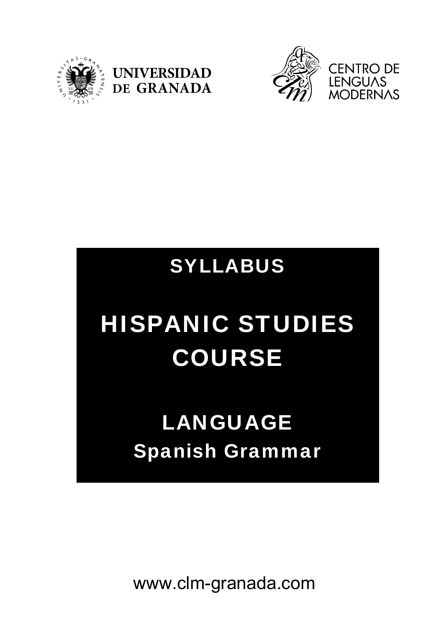





### SYLLABUS

# HISPANIC STUDIES COURSE

## LANGUAGE Spanish Grammar

www.clm-granada.com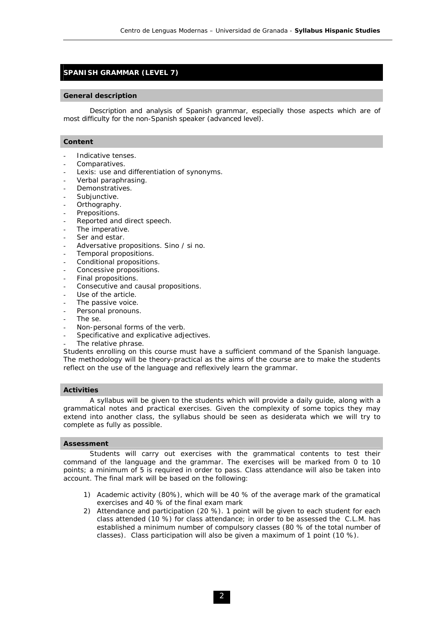#### **SPANISH GRAMMAR (LEVEL 7)**

#### **General description**

 Description and analysis of Spanish grammar, especially those aspects which are of most difficulty for the non-Spanish speaker (advanced level).

#### **Content**

- Indicative tenses.
- Comparatives.
- Lexis: use and differentiation of synonyms.
- Verbal paraphrasing.
- Demonstratives.
- Subjunctive.
- Orthography.
- Prepositions.
- Reported and direct speech.
- The imperative.
- Ser and estar.
- Adversative propositions. Sino / si no.
- Temporal propositions.
- Conditional propositions.
- Concessive propositions.
- Final propositions.
- Consecutive and causal propositions.
- Use of the article.
- The passive voice.
- Personal pronouns.
- The *se*.
- Non-personal forms of the verb.
- Specificative and explicative adjectives.
- The relative phrase.

Students enrolling on this course must have a sufficient command of the Spanish language. The methodology will be theory-practical as the aims of the course are to make the students reflect on the use of the language and reflexively learn the grammar.

#### **Activities**

 A syllabus will be given to the students which will provide a daily guide, along with a grammatical notes and practical exercises. Given the complexity of some topics they may extend into another class, the syllabus should be seen as desiderata which we will try to complete as fully as possible.

#### **Assessment**

 Students will carry out exercises with the grammatical contents to test their command of the language and the grammar. The exercises will be marked from 0 to 10 points; a minimum of 5 is required in order to pass. Class attendance will also be taken into account. The final mark will be based on the following:

- 1) Academic activity (80%), which will be 40 % of the average mark of the gramatical exercises and 40 % of the final exam mark
- 2) Attendance and participation (20 %). 1 point will be given to each student for each class attended (10 %) for class attendance; in order to be assessed the C.L.M. has established a minimum number of compulsory classes (80 % of the total number of classes). Class participation will also be given a maximum of 1 point (10 %).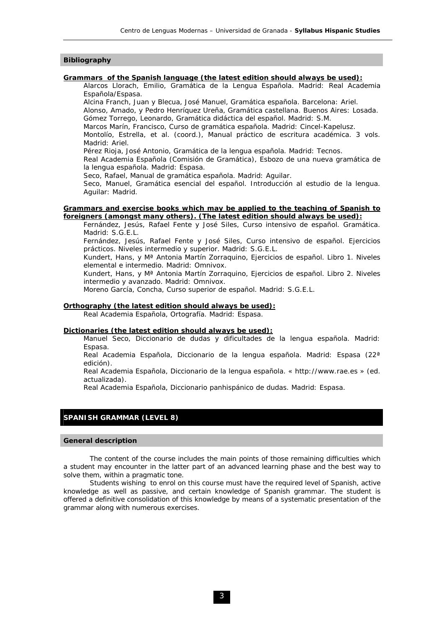#### **Bibliography**

#### **Grammars of the Spanish language (the latest edition should always be used):**

Alarcos Llorach, Emilio, *Gramática de la Lengua Española*. Madrid: Real Academia Española/Espasa.

Alcina Franch, Juan y Blecua, José Manuel, *Gramática española*. Barcelona: Ariel. Alonso, Amado, y Pedro Henríquez Ureña, *Gramática castellana*. Buenos Aires: Losada. Gómez Torrego, Leonardo, *Gramática didáctica del español*. Madrid: S.M.

Marcos Marín, Francisco, *Curso de gramática española*. Madrid: Cincel-Kapelusz.

Montolío, Estrella, et al. (coord.), *Manual práctico de escritura académica*. 3 vols. Madrid: Ariel.

Pérez Rioja, José Antonio, *Gramática de la lengua española*. Madrid: Tecnos.

Real Academia Española (Comisión de Gramática), *Esbozo de una nueva gramática de la lengua española*. Madrid: Espasa.

Seco, Rafael, *Manual de gramática española*. Madrid: Aguilar.

Seco, Manuel, *Gramática esencial del español. Introducción al estudio de la lengua*. Aguilar: Madrid.

#### **Grammars and exercise books which may be applied to the teaching of Spanish to foreigners (amongst many others). (The latest edition should always be used):**

Fernández, Jesús, Rafael Fente y José Siles, *Curso intensivo de español. Gramática*. Madrid: S.G.E.L.

Fernández, Jesús, Rafael Fente y José Siles, *Curso intensivo de español. Ejercicios prácticos. Niveles intermedio y superior*. Madrid: S.G.E.L.

Kundert, Hans, y Mª Antonia Martín Zorraquino, *Ejercicios de español. Libro 1. Niveles elemental e intermedio*. Madrid: Omnivox.

Kundert, Hans, y Mª Antonia Martín Zorraquino, *Ejercicios de español. Libro 2. Niveles intermedio y avanzado*. Madrid: Omnivox.

Moreno García, Concha, *Curso superior de español*. Madrid: S.G.E.L.

#### **Orthography (the latest edition should always be used):**

Real Academia Española, *Ortografía*. Madrid: Espasa.

#### **Dictionaries (the latest edition should always be used):**

Manuel Seco, *Diccionario de dudas y dificultades de la lengua española*. Madrid: Espasa.

Real Academia Española, *Diccionario de la lengua española*. Madrid: Espasa (22ª edición).

Real Academia Española, *Diccionario de la lengua española*. « http://www.rae.es » (ed. actualizada).

Real Academia Española, *Diccionario panhispánico de dudas*. Madrid: Espasa.

#### **SPANISH GRAMMAR (LEVEL 8)**

#### **General description**

 The content of the course includes the main points of those remaining difficulties which a student may encounter in the latter part of an advanced learning phase and the best way to solve them, within a pragmatic tone.

 Students wishing to enrol on this course must have the required level of Spanish, active knowledge as well as passive, and certain knowledge of Spanish grammar. The student is offered a definitive consolidation of this knowledge by means of a systematic presentation of the grammar along with numerous exercises.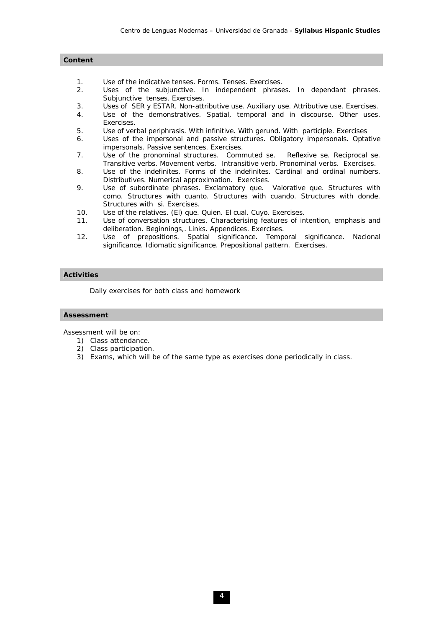#### **Content**

- 1. *Use of the indicative tenses.* Forms. Tenses. Exercises.
- 2. *Uses of the subjunctive.* In independent phrases. In dependant phrases. Subjunctive tenses. Exercises.
- 3. *Uses of SER y ESTAR.* Non-attributive use. Auxiliary use. Attributive use. Exercises.
- 4. *Use of the demonstratives*. Spatial, temporal and in discourse. Other uses. Exercises.
- 5. *Use of verbal periphrasis*. With infinitive. With gerund. With participle. Exercises
- 6. *Uses of the impersonal and passive structures.* Obligatory impersonals. Optative impersonals. Passive sentences. Exercises.
- 7. Use of the pronominal structures. Commuted *se*. Reflexive *se*. Reciprocal *se*. Transitive verbs. Movement verbs. Intransitive verb. Pronominal verbs. Exercises.
- 8. *Use of the indefinites*. Forms of the indefinites. Cardinal and ordinal numbers. Distributives. Numerical approximation. Exercises.
- 9. *Use of subordinate phrases*. Exclamatory *que*. Valorative *que*. Structures with *como*. Structures with *cuanto*. Structures with *cuando*. Structures with *donde*. Structures with *si*. Exercises.
- 10. *Use of the relatives. (El) que. Quien. El cual. Cuyo.* Exercises.
- 11. *Use of conversation structures.* Characterising features of intention, emphasis and deliberation. Beginnings,. Links. Appendices. Exercises.
- 12. *Use of prepositions*. Spatial significance. Temporal significance. Nacional significance. Idiomatic significance. Prepositional pattern. Exercises.

#### **Activities**

Daily exercises for both class and homework

#### **Assessment**

Assessment will be on:

- 1) Class attendance.
- 2) Class participation.
- 3) Exams, which will be of the same type as exercises done periodically in class.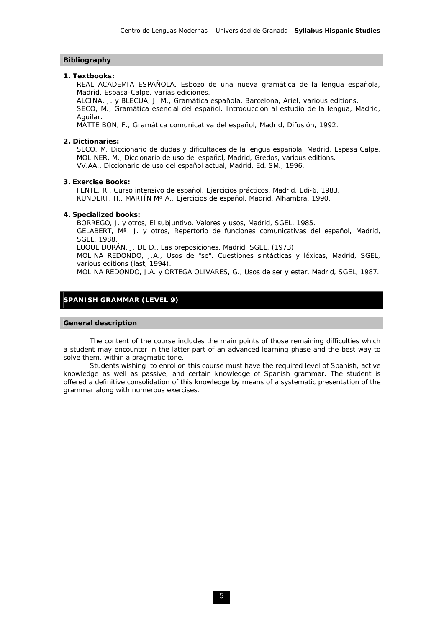#### **Bibliography**

#### **1. Textbooks:**

REAL ACADEMIA ESPAÑOLA. *Esbozo de una nueva gramática de la lengua española*, Madrid, Espasa-Calpe, varias ediciones.

ALCINA, J. y BLECUA, J. M., *Gramática española*, Barcelona, Ariel, various editions. SECO, M., Gramática esencial del español. Introducción al estudio de la lengua, Madrid, Aguilar.

MATTE BON, F., *Gramática comunicativa del español*, Madrid, Difusión, 1992.

#### **2. Dictionaries:**

SECO, M. *Diccionario de dudas y dificultades de la lengua españo*la, Madrid, Espasa Calpe. MOLINER, M., *Diccionario de uso del español*, Madrid, Gredos, various editions. VV.AA., *Diccionario de uso del español actual*, Madrid, Ed. SM., 1996.

#### **3. Exercise Books:**

FENTE, R., *Curso intensivo de español. Ejercicios prácticos*, Madrid, Edi-6, 1983. KUNDERT, H., MARTÍN Mª A., *Ejercicios de español*, Madrid, Alhambra, 1990.

#### **4. Specialized books:**

BORREGO, J. y otros, *El subjuntivo. Valores y usos*, Madrid, SGEL, 1985. GELABERT, Mª. J. y otros, *Repertorio de funciones comunicativas del español*, Madrid, SGEL, 1988. LUQUE DURÁN, J. DE D., *Las preposiciones*. Madrid, SGEL, (1973). MOLINA REDONDO, J.A., *Usos de "se". Cuestiones sintácticas y léxicas*, Madrid, SGEL,

various editions (last, 1994).

MOLINA REDONDO, J.A. y ORTEGA OLIVARES, G., *Usos de ser y estar*, Madrid, SGEL, 1987.

#### **SPANISH GRAMMAR (LEVEL 9)**

#### **General description**

 The content of the course includes the main points of those remaining difficulties which a student may encounter in the latter part of an advanced learning phase and the best way to solve them, within a pragmatic tone.

 Students wishing to enrol on this course must have the required level of Spanish, active knowledge as well as passive, and certain knowledge of Spanish grammar. The student is offered a definitive consolidation of this knowledge by means of a systematic presentation of the grammar along with numerous exercises.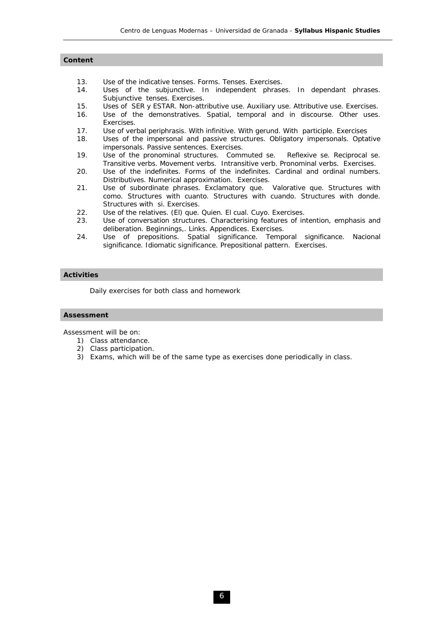#### **Content**

- 13. *Use of the indicative tenses.* Forms. Tenses. Exercises.
- 14. *Uses of the subjunctive.* In independent phrases. In dependant phrases. Subjunctive tenses. Exercises.
- 15. *Uses of SER y ESTAR.* Non-attributive use. Auxiliary use. Attributive use. Exercises.
- 16. *Use of the demonstratives*. Spatial, temporal and in discourse. Other uses. Exercises.
- 17. *Use of verbal periphrasis*. With infinitive. With gerund. With participle. Exercises
- 18. *Uses of the impersonal and passive structures.* Obligatory impersonals. Optative impersonals. Passive sentences. Exercises.
- 19. Use of the pronominal structures. Commuted *se*. Reflexive *se*. Reciprocal *se*. Transitive verbs. Movement verbs. Intransitive verb. Pronominal verbs. Exercises.
- 20. *Use of the indefinites*. Forms of the indefinites. Cardinal and ordinal numbers. Distributives. Numerical approximation. Exercises.
- 21. *Use of subordinate phrases*. Exclamatory *que*. Valorative *que*. Structures with *como*. Structures with *cuanto*. Structures with *cuando*. Structures with *donde*. Structures with *si*. Exercises.
- 22. *Use of the relatives. (El) que. Quien. El cual. Cuyo.* Exercises.
- 23. *Use of conversation structures.* Characterising features of intention, emphasis and deliberation. Beginnings,. Links. Appendices. Exercises.
- 24. *Use of prepositions*. Spatial significance. Temporal significance. Nacional significance. Idiomatic significance. Prepositional pattern. Exercises.

#### **Activities**

Daily exercises for both class and homework

#### **Assessment**

Assessment will be on:

- 1) Class attendance.
- 2) Class participation.
- 3) Exams, which will be of the same type as exercises done periodically in class.